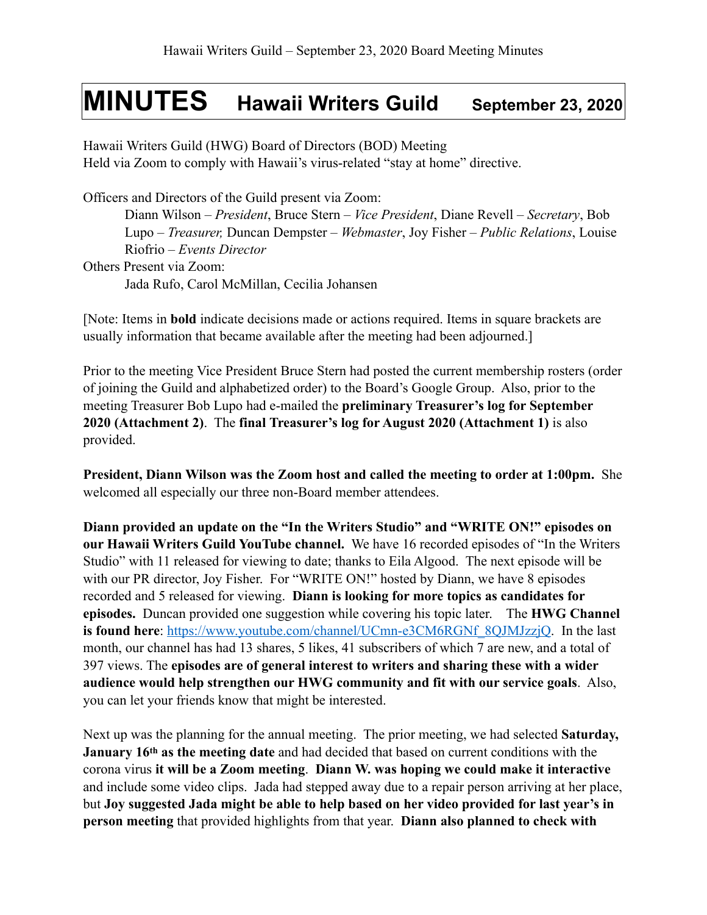## **MINUTES Hawaii Writers Guild September 23, 2020**

Hawaii Writers Guild (HWG) Board of Directors (BOD) Meeting Held via Zoom to comply with Hawaii's virus-related "stay at home" directive.

Officers and Directors of the Guild present via Zoom: Diann Wilson – *President*, Bruce Stern – *Vice President*, Diane Revell – *Secretary*, Bob Lupo – *Treasurer,* Duncan Dempster – *Webmaster*, Joy Fisher – *Public Relations*, Louise Riofrio – *Events Director* Others Present via Zoom: Jada Rufo, Carol McMillan, Cecilia Johansen

[Note: Items in **bold** indicate decisions made or actions required. Items in square brackets are usually information that became available after the meeting had been adjourned.]

Prior to the meeting Vice President Bruce Stern had posted the current membership rosters (order of joining the Guild and alphabetized order) to the Board's Google Group. Also, prior to the meeting Treasurer Bob Lupo had e-mailed the **preliminary Treasurer's log for September 2020 (Attachment 2)**. The **final Treasurer's log for August 2020 (Attachment 1)** is also provided.

**President, Diann Wilson was the Zoom host and called the meeting to order at 1:00pm.** She welcomed all especially our three non-Board member attendees.

**Diann provided an update on the "In the Writers Studio" and "WRITE ON!" episodes on our Hawaii Writers Guild YouTube channel.** We have 16 recorded episodes of "In the Writers Studio" with 11 released for viewing to date; thanks to Eila Algood. The next episode will be with our PR director, Joy Fisher. For "WRITE ON!" hosted by Diann, we have 8 episodes recorded and 5 released for viewing. **Diann is looking for more topics as candidates for episodes.** Duncan provided one suggestion while covering his topic later. The **HWG Channel is found here**: [https://www.youtube.com/channel/UCmn-e3CM6RGNf\\_8QJMJzzjQ](https://www.youtube.com/channel/UCmn-e3CM6RGNf_8QJMJzzjQ). In the last month, our channel has had 13 shares, 5 likes, 41 subscribers of which 7 are new, and a total of 397 views. The **episodes are of general interest to writers and sharing these with a wider audience would help strengthen our HWG community and fit with our service goals**. Also, you can let your friends know that might be interested.

Next up was the planning for the annual meeting. The prior meeting, we had selected **Saturday, January 16th as the meeting date** and had decided that based on current conditions with the corona virus **it will be a Zoom meeting**. **Diann W. was hoping we could make it interactive** and include some video clips. Jada had stepped away due to a repair person arriving at her place, but **Joy suggested Jada might be able to help based on her video provided for last year's in person meeting** that provided highlights from that year. **Diann also planned to check with**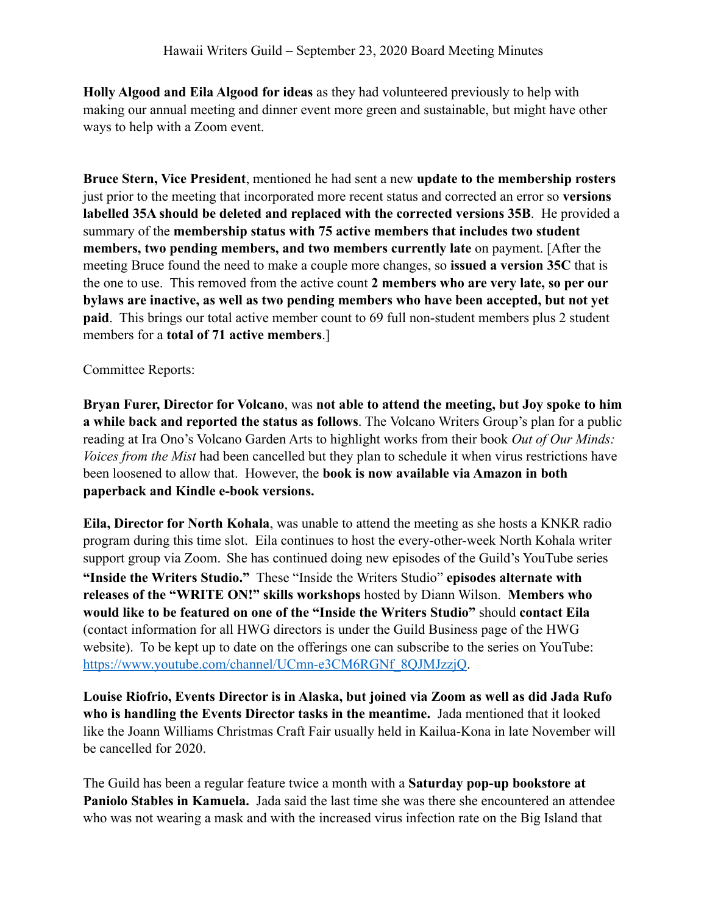**Holly Algood and Eila Algood for ideas** as they had volunteered previously to help with making our annual meeting and dinner event more green and sustainable, but might have other ways to help with a Zoom event.

**Bruce Stern, Vice President**, mentioned he had sent a new **update to the membership rosters** just prior to the meeting that incorporated more recent status and corrected an error so **versions labelled 35A should be deleted and replaced with the corrected versions 35B**. He provided a summary of the **membership status with 75 active members that includes two student members, two pending members, and two members currently late** on payment. [After the meeting Bruce found the need to make a couple more changes, so **issued a version 35C** that is the one to use. This removed from the active count **2 members who are very late, so per our bylaws are inactive, as well as two pending members who have been accepted, but not yet paid**. This brings our total active member count to 69 full non-student members plus 2 student members for a **total of 71 active members**.]

Committee Reports:

**Bryan Furer, Director for Volcano**, was **not able to attend the meeting, but Joy spoke to him a while back and reported the status as follows**. The Volcano Writers Group's plan for a public reading at Ira Ono's Volcano Garden Arts to highlight works from their book *Out of Our Minds: Voices from the Mist* had been cancelled but they plan to schedule it when virus restrictions have been loosened to allow that. However, the **book is now available via Amazon in both paperback and Kindle e-book versions.**

**Eila, Director for North Kohala**, was unable to attend the meeting as she hosts a KNKR radio program during this time slot. Eila continues to host the every-other-week North Kohala writer support group via Zoom. She has continued doing new episodes of the Guild's YouTube series **"Inside the Writers Studio."** These "Inside the Writers Studio" **episodes alternate with releases of the "WRITE ON!" skills workshops** hosted by Diann Wilson. **Members who would like to be featured on one of the "Inside the Writers Studio"** should **contact Eila** (contact information for all HWG directors is under the Guild Business page of the HWG website). To be kept up to date on the offerings one can subscribe to the series on YouTube: [https://www.youtube.com/channel/UCmn-e3CM6RGNf\\_8QJMJzzjQ.](https://www.youtube.com/channel/UCmn-e3CM6RGNf_8QJMJzzjQ)

**Louise Riofrio, Events Director is in Alaska, but joined via Zoom as well as did Jada Rufo who is handling the Events Director tasks in the meantime.** Jada mentioned that it looked like the Joann Williams Christmas Craft Fair usually held in Kailua-Kona in late November will be cancelled for 2020.

The Guild has been a regular feature twice a month with a **Saturday pop-up bookstore at Paniolo Stables in Kamuela.** Jada said the last time she was there she encountered an attendee who was not wearing a mask and with the increased virus infection rate on the Big Island that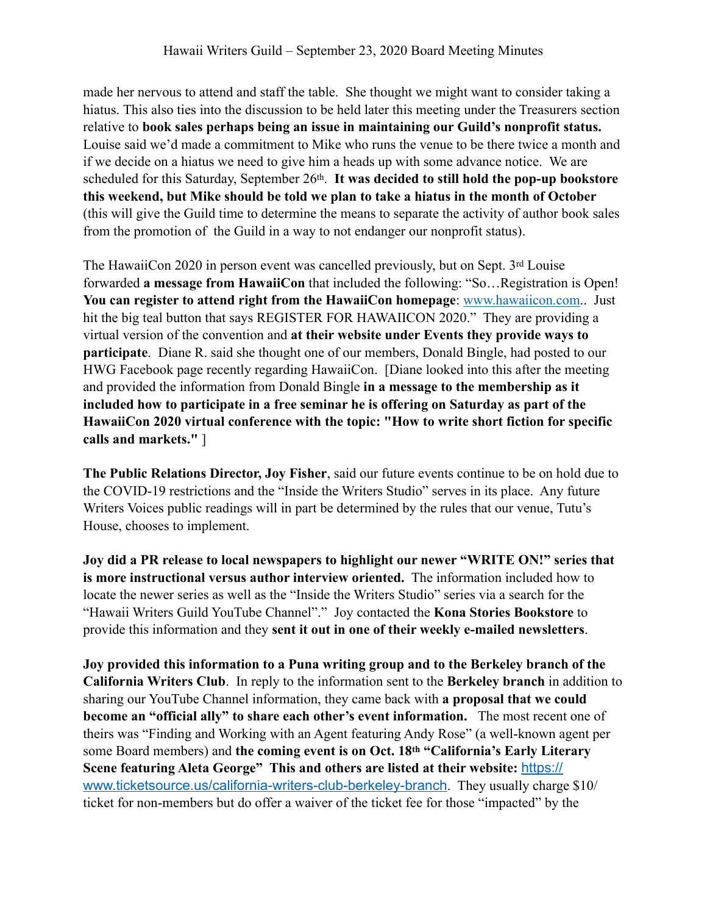made her nervous to attend and staff the table. She thought we might want to consider taking a hiatus. This also ties into the discussion to be held later this meeting under the Treasurers section relative to **book sales perhaps being an issue in maintaining our Guild's nonprofit status.**  Louise said we'd made a commitment to Mike who runs the venue to be there twice a month and if we decide on a hiatus we need to give him a heads up with some advance notice. We are scheduled for this Saturday, September 26th. **It was decided to still hold the pop-up bookstore this weekend, but Mike should be told we plan to take a hiatus in the month of October**  (this will give the Guild time to determine the means to separate the activity of author book sales from the promotion of the Guild in a way to not endanger our nonprofit status).

The HawaiiCon 2020 in person event was cancelled previously, but on Sept. 3rd Louise forwarded **a message from HawaiiCon** that included the following: "So…Registration is Open! **You can register to attend right from the HawaiiCon homepage**: [www.hawaiicon.com](http://www.hawaiicon.com).. Just hit the big teal button that says REGISTER FOR HAWAIICON 2020." They are providing a virtual version of the convention and **at their website under Events they provide ways to participate**. Diane R. said she thought one of our members, Donald Bingle, had posted to our HWG Facebook page recently regarding HawaiiCon. [Diane looked into this after the meeting and provided the information from Donald Bingle **in a message to the membership as it included how to participate in a free seminar he is offering on Saturday as part of the HawaiiCon 2020 virtual conference with the topic: "How to write short fiction for specific calls and markets."** ]

**The Public Relations Director, Joy Fisher**, said our future events continue to be on hold due to the COVID-19 restrictions and the "Inside the Writers Studio" serves in its place. Any future Writers Voices public readings will in part be determined by the rules that our venue, Tutu's House, chooses to implement.

**Joy did a PR release to local newspapers to highlight our newer "WRITE ON!" series that is more instructional versus author interview oriented.** The information included how to locate the newer series as well as the "Inside the Writers Studio" series via a search for the "Hawaii Writers Guild YouTube Channel"." Joy contacted the **Kona Stories Bookstore** to provide this information and they **sent it out in one of their weekly e-mailed newsletters**.

**Joy provided this information to a Puna writing group and to the Berkeley branch of the California Writers Club**. In reply to the information sent to the **Berkeley branch** in addition to sharing our YouTube Channel information, they came back with **a proposal that we could become an "official ally" to share each other's event information.** The most recent one of theirs was "Finding and Working with an Agent featuring Andy Rose" (a well-known agent per some Board members) and **the coming event is on Oct. 18th "California's Early Literary Scene featuring Aleta George" This and others are listed at their website:** [https://](https://www.ticketsource.us/california-writers-club-berkeley-branch) [www.ticketsource.us/california-writers-club-berkeley-branch](https://www.ticketsource.us/california-writers-club-berkeley-branch). They usually charge \$10/ ticket for non-members but do offer a waiver of the ticket fee for those "impacted" by the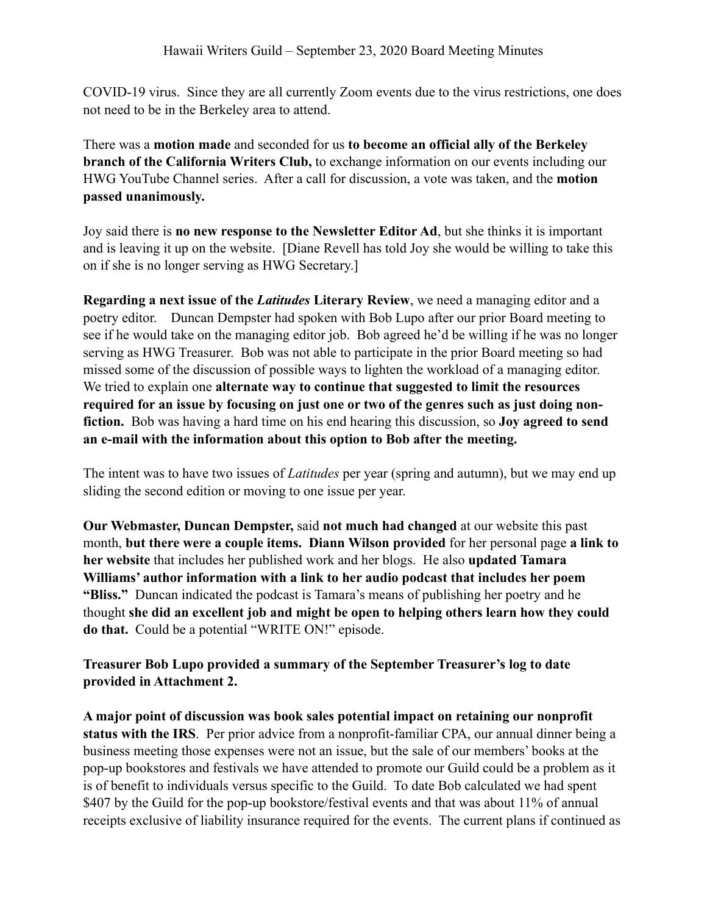COVID-19 virus. Since they are all currently Zoom events due to the virus restrictions, one does not need to be in the Berkeley area to attend.

There was a **motion made** and seconded for us **to become an official ally of the Berkeley branch of the California Writers Club,** to exchange information on our events including our HWG YouTube Channel series. After a call for discussion, a vote was taken, and the **motion passed unanimously.**

Joy said there is **no new response to the Newsletter Editor Ad**, but she thinks it is important and is leaving it up on the website. [Diane Revell has told Joy she would be willing to take this on if she is no longer serving as HWG Secretary.]

**Regarding a next issue of the** *Latitudes* **Literary Review**, we need a managing editor and a poetry editor. Duncan Dempster had spoken with Bob Lupo after our prior Board meeting to see if he would take on the managing editor job. Bob agreed he'd be willing if he was no longer serving as HWG Treasurer. Bob was not able to participate in the prior Board meeting so had missed some of the discussion of possible ways to lighten the workload of a managing editor. We tried to explain one **alternate way to continue that suggested to limit the resources required for an issue by focusing on just one or two of the genres such as just doing nonfiction.** Bob was having a hard time on his end hearing this discussion, so **Joy agreed to send an e-mail with the information about this option to Bob after the meeting.**

The intent was to have two issues of *Latitudes* per year (spring and autumn), but we may end up sliding the second edition or moving to one issue per year.

**Our Webmaster, Duncan Dempster,** said **not much had changed** at our website this past month, **but there were a couple items. Diann Wilson provided** for her personal page **a link to her website** that includes her published work and her blogs. He also **updated Tamara Williams' author information with a link to her audio podcast that includes her poem "Bliss."** Duncan indicated the podcast is Tamara's means of publishing her poetry and he thought **she did an excellent job and might be open to helping others learn how they could do that.** Could be a potential "WRITE ON!" episode.

**Treasurer Bob Lupo provided a summary of the September Treasurer's log to date provided in Attachment 2.** 

**A major point of discussion was book sales potential impact on retaining our nonprofit status with the IRS**. Per prior advice from a nonprofit-familiar CPA, our annual dinner being a business meeting those expenses were not an issue, but the sale of our members' books at the pop-up bookstores and festivals we have attended to promote our Guild could be a problem as it is of benefit to individuals versus specific to the Guild. To date Bob calculated we had spent \$407 by the Guild for the pop-up bookstore/festival events and that was about 11% of annual receipts exclusive of liability insurance required for the events. The current plans if continued as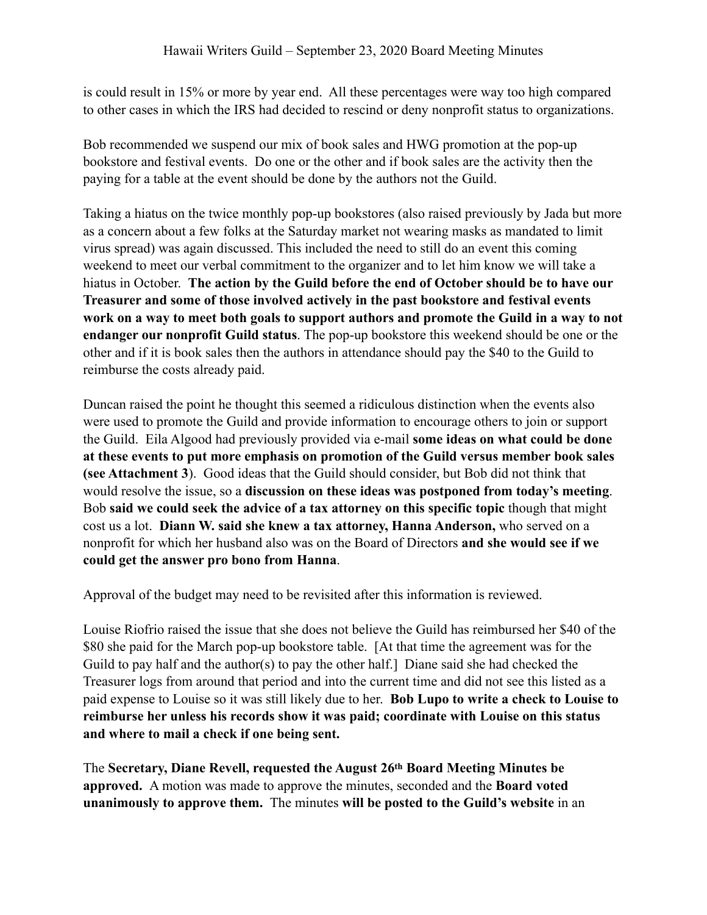is could result in 15% or more by year end. All these percentages were way too high compared to other cases in which the IRS had decided to rescind or deny nonprofit status to organizations.

Bob recommended we suspend our mix of book sales and HWG promotion at the pop-up bookstore and festival events. Do one or the other and if book sales are the activity then the paying for a table at the event should be done by the authors not the Guild.

Taking a hiatus on the twice monthly pop-up bookstores (also raised previously by Jada but more as a concern about a few folks at the Saturday market not wearing masks as mandated to limit virus spread) was again discussed. This included the need to still do an event this coming weekend to meet our verbal commitment to the organizer and to let him know we will take a hiatus in October. **The action by the Guild before the end of October should be to have our Treasurer and some of those involved actively in the past bookstore and festival events work on a way to meet both goals to support authors and promote the Guild in a way to not endanger our nonprofit Guild status**. The pop-up bookstore this weekend should be one or the other and if it is book sales then the authors in attendance should pay the \$40 to the Guild to reimburse the costs already paid.

Duncan raised the point he thought this seemed a ridiculous distinction when the events also were used to promote the Guild and provide information to encourage others to join or support the Guild. Eila Algood had previously provided via e-mail **some ideas on what could be done at these events to put more emphasis on promotion of the Guild versus member book sales (see Attachment 3**). Good ideas that the Guild should consider, but Bob did not think that would resolve the issue, so a **discussion on these ideas was postponed from today's meeting**. Bob **said we could seek the advice of a tax attorney on this specific topic** though that might cost us a lot. **Diann W. said she knew a tax attorney, Hanna Anderson,** who served on a nonprofit for which her husband also was on the Board of Directors **and she would see if we could get the answer pro bono from Hanna**.

Approval of the budget may need to be revisited after this information is reviewed.

Louise Riofrio raised the issue that she does not believe the Guild has reimbursed her \$40 of the \$80 she paid for the March pop-up bookstore table. [At that time the agreement was for the Guild to pay half and the author(s) to pay the other half.] Diane said she had checked the Treasurer logs from around that period and into the current time and did not see this listed as a paid expense to Louise so it was still likely due to her. **Bob Lupo to write a check to Louise to reimburse her unless his records show it was paid; coordinate with Louise on this status and where to mail a check if one being sent.**

The **Secretary, Diane Revell, requested the August 26th Board Meeting Minutes be approved.** A motion was made to approve the minutes, seconded and the **Board voted unanimously to approve them.** The minutes **will be posted to the Guild's website** in an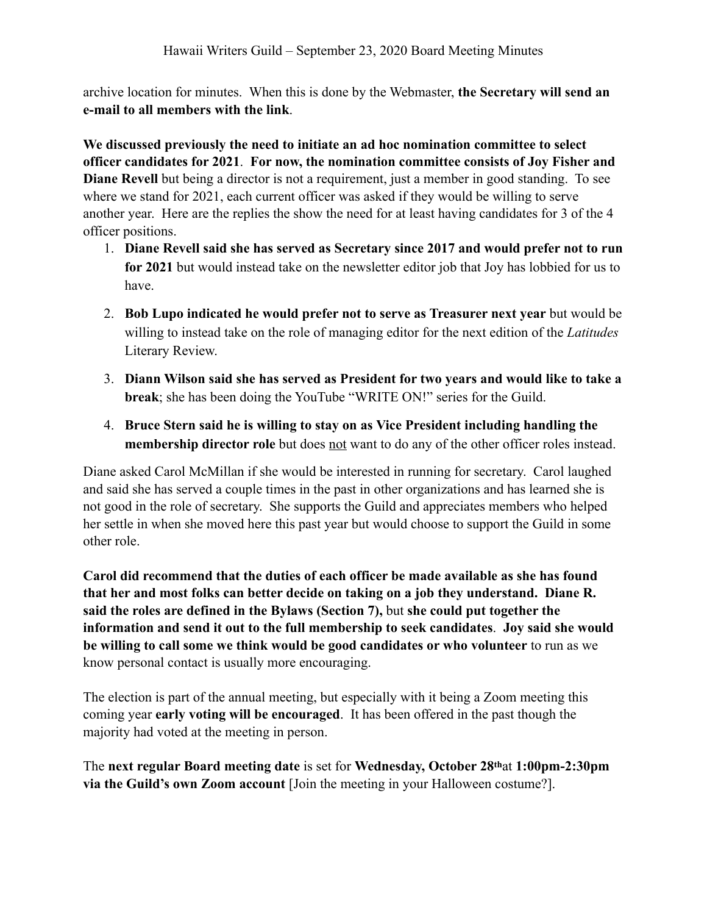archive location for minutes. When this is done by the Webmaster, **the Secretary will send an e-mail to all members with the link**.

**We discussed previously the need to initiate an ad hoc nomination committee to select officer candidates for 2021**. **For now, the nomination committee consists of Joy Fisher and Diane Revell** but being a director is not a requirement, just a member in good standing. To see where we stand for 2021, each current officer was asked if they would be willing to serve another year. Here are the replies the show the need for at least having candidates for 3 of the 4 officer positions.

- 1. **Diane Revell said she has served as Secretary since 2017 and would prefer not to run for 2021** but would instead take on the newsletter editor job that Joy has lobbied for us to have.
- 2. **Bob Lupo indicated he would prefer not to serve as Treasurer next year** but would be willing to instead take on the role of managing editor for the next edition of the *Latitudes* Literary Review.
- 3. **Diann Wilson said she has served as President for two years and would like to take a break**; she has been doing the YouTube "WRITE ON!" series for the Guild.
- 4. **Bruce Stern said he is willing to stay on as Vice President including handling the membership director role** but does not want to do any of the other officer roles instead.

Diane asked Carol McMillan if she would be interested in running for secretary. Carol laughed and said she has served a couple times in the past in other organizations and has learned she is not good in the role of secretary. She supports the Guild and appreciates members who helped her settle in when she moved here this past year but would choose to support the Guild in some other role.

**Carol did recommend that the duties of each officer be made available as she has found that her and most folks can better decide on taking on a job they understand. Diane R. said the roles are defined in the Bylaws (Section 7),** but **she could put together the information and send it out to the full membership to seek candidates**. **Joy said she would be willing to call some we think would be good candidates or who volunteer** to run as we know personal contact is usually more encouraging.

The election is part of the annual meeting, but especially with it being a Zoom meeting this coming year **early voting will be encouraged**. It has been offered in the past though the majority had voted at the meeting in person.

The **next regular Board meeting date** is set for **Wednesday, October 28th**at **1:00pm-2:30pm via the Guild's own Zoom account** [Join the meeting in your Halloween costume?].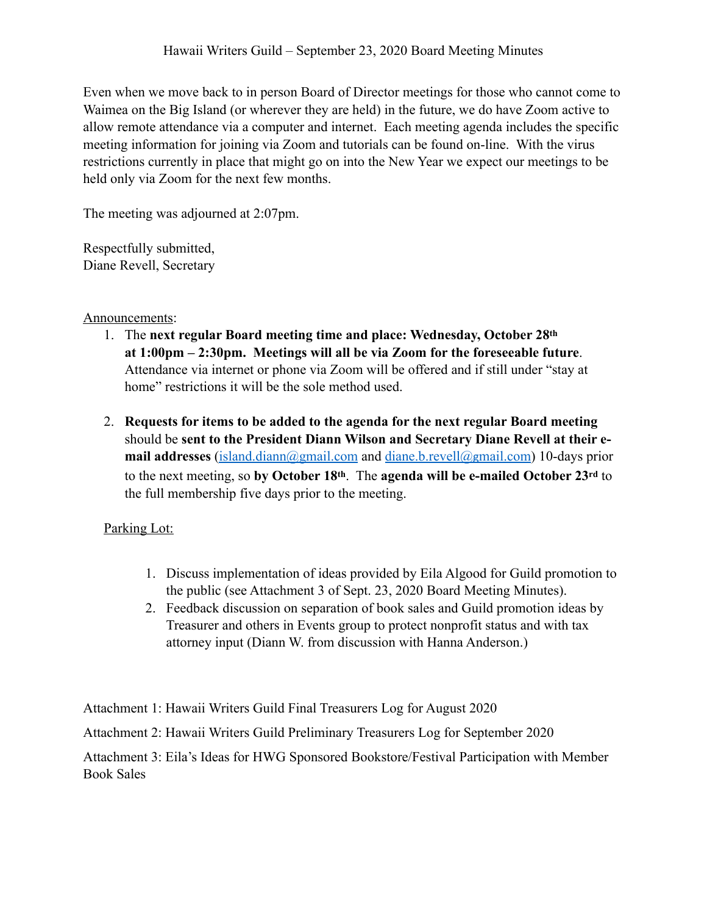Even when we move back to in person Board of Director meetings for those who cannot come to Waimea on the Big Island (or wherever they are held) in the future, we do have Zoom active to allow remote attendance via a computer and internet. Each meeting agenda includes the specific meeting information for joining via Zoom and tutorials can be found on-line. With the virus restrictions currently in place that might go on into the New Year we expect our meetings to be held only via Zoom for the next few months.

The meeting was adjourned at 2:07pm.

Respectfully submitted, Diane Revell, Secretary

Announcements:

- 1. The **next regular Board meeting time and place: Wednesday, October 28th at 1:00pm – 2:30pm. Meetings will all be via Zoom for the foreseeable future**. Attendance via internet or phone via Zoom will be offered and if still under "stay at home" restrictions it will be the sole method used.
- 2. **Requests for items to be added to the agenda for the next regular Board meeting** should be **sent to the President Diann Wilson and Secretary Diane Revell at their email addresses** ([island.diann@gmail.com](mailto:island.diann@gmail.com) and [diane.b.revell@](mailto:diane.b.revell@gmail.com)gmail.com) 10-days prior to the next meeting, so **by October 18th**. The **agenda will be e-mailed October 23rd** to the full membership five days prior to the meeting.

## Parking Lot:

- 1. Discuss implementation of ideas provided by Eila Algood for Guild promotion to the public (see Attachment 3 of Sept. 23, 2020 Board Meeting Minutes).
- 2. Feedback discussion on separation of book sales and Guild promotion ideas by Treasurer and others in Events group to protect nonprofit status and with tax attorney input (Diann W. from discussion with Hanna Anderson.)

Attachment 1: Hawaii Writers Guild Final Treasurers Log for August 2020

Attachment 2: Hawaii Writers Guild Preliminary Treasurers Log for September 2020

Attachment 3: Eila's Ideas for HWG Sponsored Bookstore/Festival Participation with Member Book Sales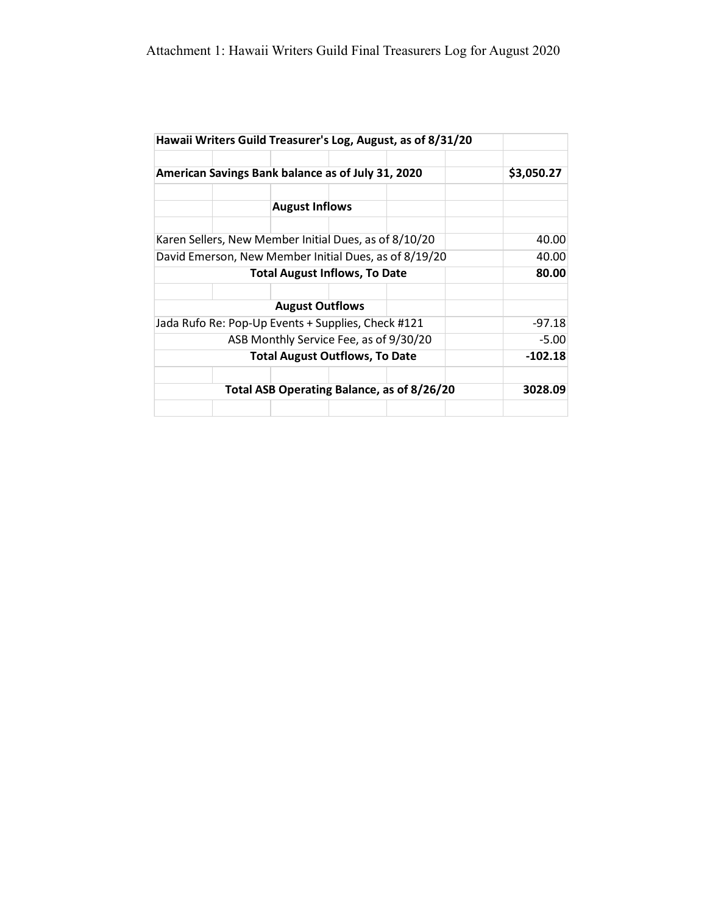|                                                    |            |                                                       |  | Hawaii Writers Guild Treasurer's Log, August, as of 8/31/20 |           |
|----------------------------------------------------|------------|-------------------------------------------------------|--|-------------------------------------------------------------|-----------|
| American Savings Bank balance as of July 31, 2020  | \$3,050.27 |                                                       |  |                                                             |           |
|                                                    |            | <b>August Inflows</b>                                 |  |                                                             |           |
|                                                    |            | Karen Sellers, New Member Initial Dues, as of 8/10/20 |  |                                                             | 40.00     |
|                                                    |            |                                                       |  | David Emerson, New Member Initial Dues, as of 8/19/20       | 40.00     |
| <b>Total August Inflows, To Date</b>               |            |                                                       |  |                                                             | 80.00     |
|                                                    |            | <b>August Outflows</b>                                |  |                                                             |           |
| Jada Rufo Re: Pop-Up Events + Supplies, Check #121 |            |                                                       |  |                                                             | $-97.18$  |
| ASB Monthly Service Fee, as of 9/30/20             |            |                                                       |  |                                                             | $-5.00$   |
| <b>Total August Outflows, To Date</b>              |            |                                                       |  |                                                             | $-102.18$ |
| Total ASB Operating Balance, as of 8/26/20         |            |                                                       |  |                                                             | 3028.09   |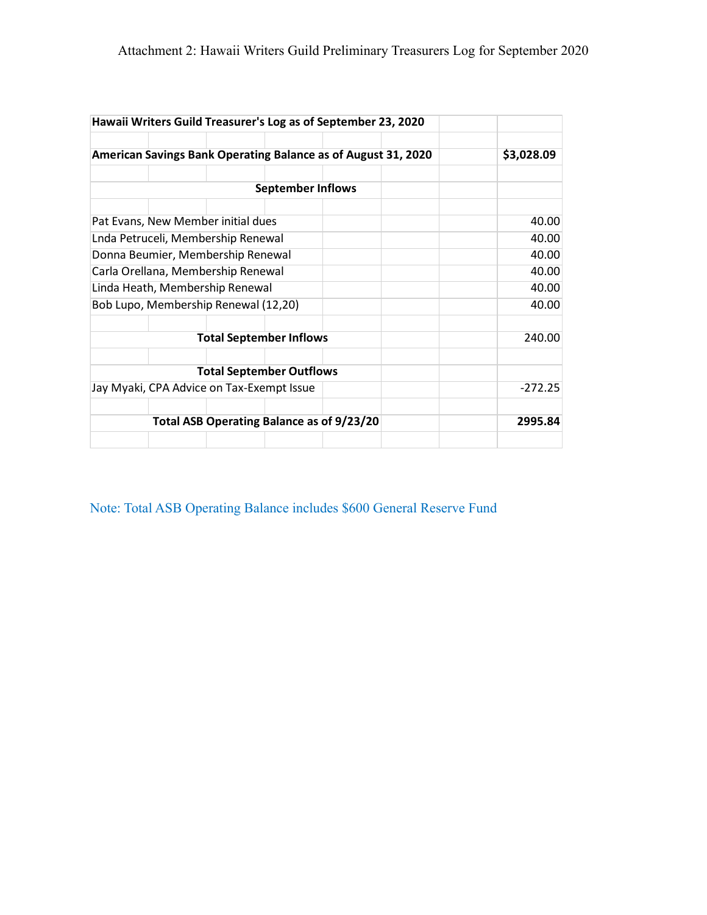| American Savings Bank Operating Balance as of August 31, 2020<br><b>September Inflows</b><br>Pat Evans, New Member initial dues | \$3,028.09     |
|---------------------------------------------------------------------------------------------------------------------------------|----------------|
|                                                                                                                                 |                |
|                                                                                                                                 |                |
|                                                                                                                                 | 40.00          |
| Lnda Petruceli, Membership Renewal<br>Donna Beumier, Membership Renewal                                                         | 40.00<br>40.00 |
| Carla Orellana, Membership Renewal                                                                                              | 40.00          |
| Linda Heath, Membership Renewal<br>Bob Lupo, Membership Renewal (12,20)                                                         | 40.00<br>40.00 |
| <b>Total September Inflows</b>                                                                                                  | 240.00         |
| <b>Total September Outflows</b>                                                                                                 |                |
| Jay Myaki, CPA Advice on Tax-Exempt Issue                                                                                       | $-272.25$      |
| Total ASB Operating Balance as of 9/23/20                                                                                       | 2995.84        |

Note: Total ASB Operating Balance includes \$600 General Reserve Fund